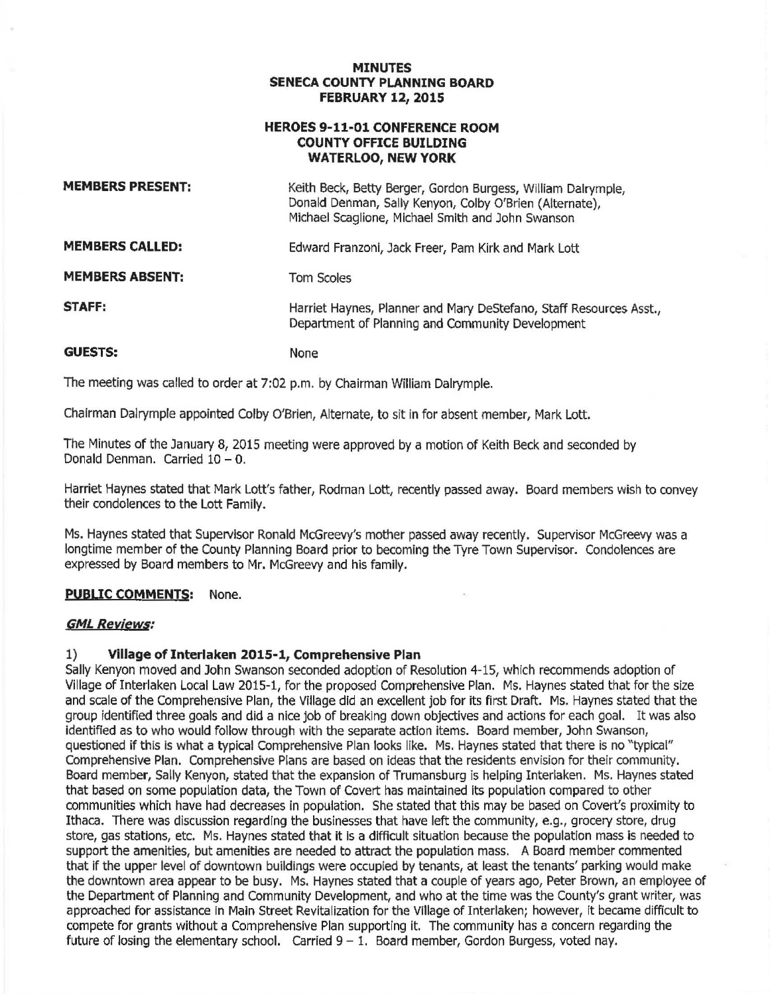#### **MINUTES SENECA COUNTY PLANNING BOARD FEBRUARY 12, 2015**

### **HEROES 9-11-01 CONFERENCE ROOM COUNTY OFFICE BUILDING WATERLOO, NEW YORK**

| <b>MEMBERS PRESENT:</b> | Keith Beck, Betty Berger, Gordon Burgess, William Dalrymple,<br>Donald Denman, Sally Kenyon, Colby O'Brien (Alternate),<br>Michael Scaglione, Michael Smith and John Swanson |
|-------------------------|------------------------------------------------------------------------------------------------------------------------------------------------------------------------------|
| <b>MEMBERS CALLED:</b>  | Edward Franzoni, Jack Freer, Pam Kirk and Mark Lott                                                                                                                          |
| <b>MEMBERS ABSENT:</b>  | <b>Tom Scoles</b>                                                                                                                                                            |
| STAFF:                  | Harriet Haynes, Planner and Mary DeStefano, Staff Resources Asst.,<br>Department of Planning and Community Development                                                       |
| <b>GUESTS:</b>          | None                                                                                                                                                                         |

The meeting was called to order at 7:02 p.m. by Chairman William Dalrymple.

Chairman Dalrymple appointed Colby O'Brien, Alternate, to sit in for absent member, Mark Lott.

The Minutes of the January 8, 2015 meeting were approved by a motion of Keith Beck and seconded by Donald Denman. Carried  $10 - 0$ .

Harriet Haynes stated that Mark Lott's father, Rodman Lott, recently passed away. Board members wish to convey their condolences to the Lott Family.

Ms. Haynes stated that Supervisor Ronald McGreevy's mother passed away recently. Supervisor McGreevy was a longtime member of the County Planning Board prior to becoming the Tyre Town Supervisor. Condolences are expressed by Board members to Mr. McGreevy and his family.

## **PUBLIC COMMENTS:** None.

#### **GML Reyiews:**

#### **1) Village of Interlaken 2015-1, Comprehensive Plan**

Sally Kenyon moved and John Swanson seconded adoption of Resolution 4-15, which recommends adoption of Village of Interlaken Local Law 2015-1, for the proposed Comprehensive Plan. Ms. Haynes stated that for the size and scale of the Comprehensive Plan, the Village did an excellent job for its first Draft. Ms. Haynes stated that the group identified three goals and did a nice job of breaking down objectives and actions for each goal. It was also identified as to who would follow through with the separate action items. Board member, John Swanson, questioned if this is what a typical Comprehensive Plan looks like. Ms. Haynes stated that there is no "typical" Comprehensive Plan. Comprehensive Plans are based on ideas that the residents envision for their community. Board member, Sally Kenyon, stated that the expansion of Trumansburg is helping Interlaken. Ms. Haynes stated that based on some population data, the Town of Covert has maintained its population compared to other communities which have had decreases in population. She stated that this may be based on Covert's proximity to Ithaca. There was discussion regarding the businesses that have left the community, e.g., grocery store, drug store, gas stations, etc. Ms. Haynes stated that it is a difficult situation because the population mass is needed to support the amenities, but amenities are needed to attract the population mass. A Board member commented that if the upper level of downtown buildings were occupied by tenants, at least the tenants' parking would make the downtown area appear to be busy. Ms. Haynes stated that a couple of years ago, Peter Brown, an employee of the Department of Planning and Community Development, and who at the time was the County's grant writer, was approached for assistance in Main Street Revitalization for the Village of Interlaken; however, it became difficult to compete for grants without a Comprehensive Plan supporting it. The community has a concern regarding the future of losing the elementary school. Carried  $9 - 1$ . Board member, Gordon Burgess, voted nay.